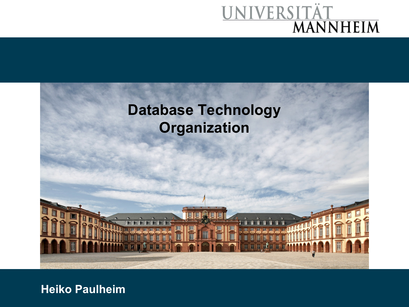# UNIVERSITÄT<br>MANNHEIM



**Heiko Paulheim**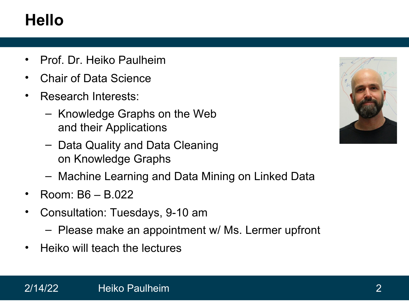## **Hello**

- Prof. Dr. Heiko Paulheim
- Chair of Data Science
- Research Interests:
	- Knowledge Graphs on the Web and their Applications
	- Data Quality and Data Cleaning on Knowledge Graphs
	- Machine Learning and Data Mining on Linked Data
- Room: B6 B.022
- Consultation: Tuesdays, 9-10 am
	- Please make an appointment w/ Ms. Lermer upfront
- Heiko will teach the lectures

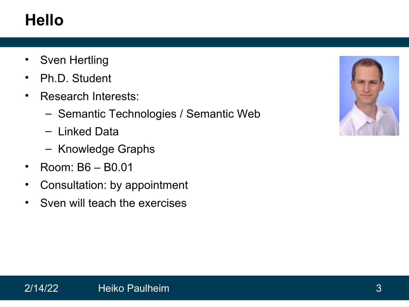## **Hello**

- Sven Hertling
- Ph.D. Student
- Research Interests:
	- Semantic Technologies / Semantic Web
	- Linked Data
	- Knowledge Graphs
- Room: B6 B0.01
- Consultation: by appointment
- Sven will teach the exercises

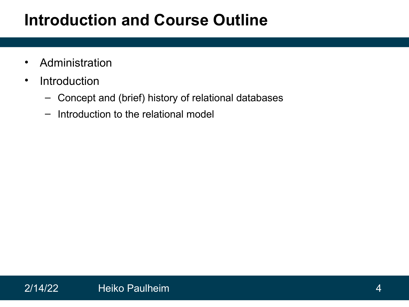### **Introduction and Course Outline**

- Administration
- Introduction
	- Concept and (brief) history of relational databases
	- Introduction to the relational model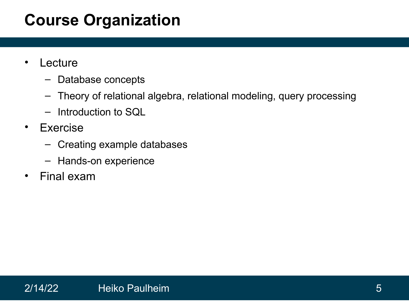### **Course Organization**

- Lecture
	- Database concepts
	- Theory of relational algebra, relational modeling, query processing
	- Introduction to SQL
- Exercise
	- Creating example databases
	- Hands-on experience
- Final exam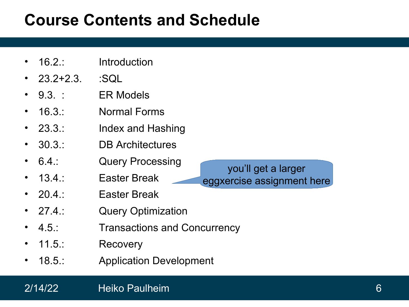### **Course Contents and Schedule**

- 16.2.: Introduction
- $23.2 + 2.3$ .  $\therefore$  SQL
- 9.3. : ER Models
- 16.3 · Normal Forms
- 23.3.: Index and Hashing
- 30.3.: DB Architectures
- 6.4.: Query Processing
- 13.4.: Easter Break
- 20.4.: Easter Break
- 27.4.: Query Optimization
- 4.5.: Transactions and Concurrency
- 11.5.: Recovery
- 18.5.: Application Development



### 2/14/22 Heiko Paulheim 6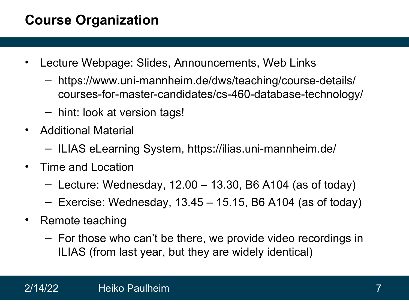### **Course Organization**

- Lecture Webpage: Slides, Announcements, Web Links
	- https://www.uni-mannheim.de/dws/teaching/course-details/ courses-for-master-candidates/cs-460-database-technology/
	- hint: look at version tags!
- Additional Material
	- ILIAS eLearning System, https://ilias.uni-mannheim.de/
- Time and Location
	- $-$  Lecture: Wednesday, 12.00  $-$  13.30, B6 A104 (as of today)
	- Exercise: Wednesday, 13.45 15.15, B6 A104 (as of today)
- Remote teaching
	- For those who can't be there, we provide video recordings in ILIAS (from last year, but they are widely identical)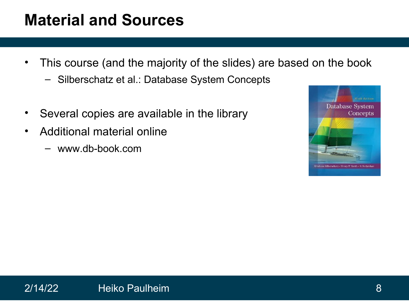### **Material and Sources**

- This course (and the majority of the slides) are based on the book
	- Silberschatz et al.: Database System Concepts
- Several copies are available in the library
- Additional material online
	- www.db-book.com